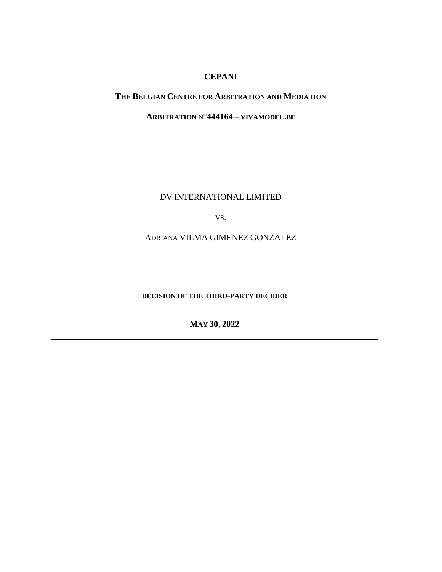# **CEPANI**

### **THE BELGIAN CENTRE FOR ARBITRATION AND MEDIATION**

**ARBITRATION N°444164 – VIVAMODEL.BE**

DV INTERNATIONAL LIMITED

VS.

ADRIANA VILMA GIMENEZ GONZALEZ

**DECISION OF THE THIRD-PARTY DECIDER**

**MAY 30, 2022**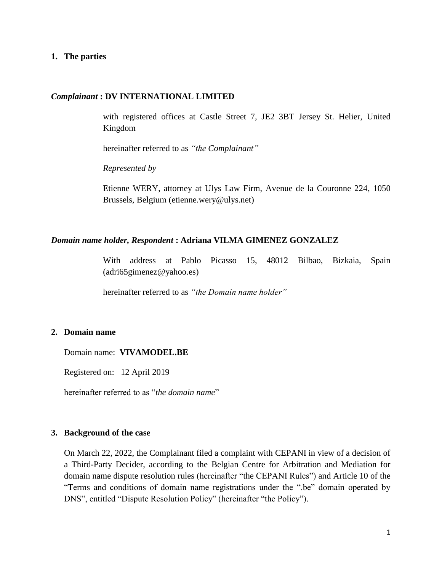#### **1. The parties**

#### *Complainant* **: DV INTERNATIONAL LIMITED**

with registered offices at Castle Street 7, JE2 3BT Jersey St. Helier, United Kingdom

hereinafter referred to as *"the Complainant"*

*Represented by*

Etienne WERY, attorney at Ulys Law Firm, Avenue de la Couronne 224, 1050 Brussels, Belgium (etienne.wery@ulys.net)

#### *Domain name holder, Respondent* **: Adriana VILMA GIMENEZ GONZALEZ**

With address at Pablo Picasso 15, 48012 Bilbao, Bizkaia, Spain (adri65gimenez@yahoo.es)

hereinafter referred to as *"the Domain name holder"*

#### **2. Domain name**

Domain name: **VIVAMODEL.BE**

Registered on: 12 April 2019

hereinafter referred to as "*the domain name*"

#### **3. Background of the case**

On March 22, 2022, the Complainant filed a complaint with CEPANI in view of a decision of a Third-Party Decider, according to the Belgian Centre for Arbitration and Mediation for domain name dispute resolution rules (hereinafter "the CEPANI Rules") and Article 10 of the "Terms and conditions of domain name registrations under the ".be" domain operated by DNS", entitled "Dispute Resolution Policy" (hereinafter "the Policy").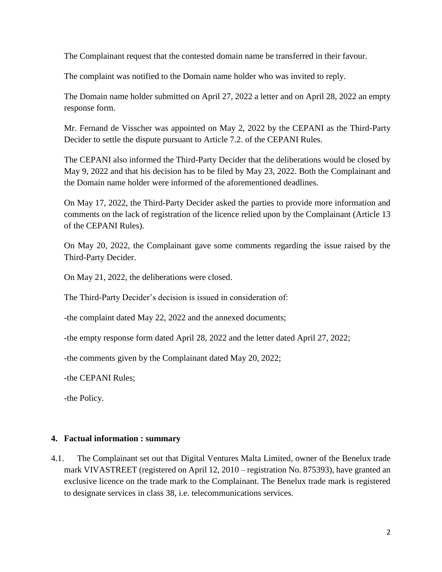The Complainant request that the contested domain name be transferred in their favour.

The complaint was notified to the Domain name holder who was invited to reply.

The Domain name holder submitted on April 27, 2022 a letter and on April 28, 2022 an empty response form.

Mr. Fernand de Visscher was appointed on May 2, 2022 by the CEPANI as the Third-Party Decider to settle the dispute pursuant to Article 7.2. of the CEPANI Rules.

The CEPANI also informed the Third-Party Decider that the deliberations would be closed by May 9, 2022 and that his decision has to be filed by May 23, 2022. Both the Complainant and the Domain name holder were informed of the aforementioned deadlines.

On May 17, 2022, the Third-Party Decider asked the parties to provide more information and comments on the lack of registration of the licence relied upon by the Complainant (Article 13 of the CEPANI Rules).

On May 20, 2022, the Complainant gave some comments regarding the issue raised by the Third-Party Decider.

On May 21, 2022, the deliberations were closed.

The Third-Party Decider's decision is issued in consideration of:

-the complaint dated May 22, 2022 and the annexed documents;

-the empty response form dated April 28, 2022 and the letter dated April 27, 2022;

-the comments given by the Complainant dated May 20, 2022;

-the CEPANI Rules;

-the Policy.

## **4. Factual information : summary**

4.1. The Complainant set out that Digital Ventures Malta Limited, owner of the Benelux trade mark VIVASTREET (registered on April 12, 2010 – registration No. 875393), have granted an exclusive licence on the trade mark to the Complainant. The Benelux trade mark is registered to designate services in class 38, i.e. telecommunications services.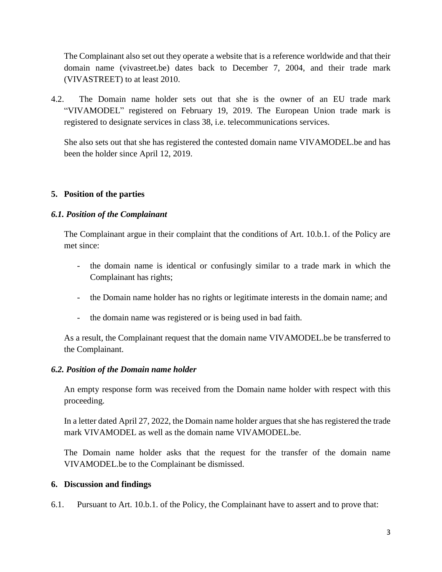The Complainant also set out they operate a website that is a reference worldwide and that their domain name (vivastreet.be) dates back to December 7, 2004, and their trade mark (VIVASTREET) to at least 2010.

4.2. The Domain name holder sets out that she is the owner of an EU trade mark "VIVAMODEL" registered on February 19, 2019. The European Union trade mark is registered to designate services in class 38, i.e. telecommunications services.

She also sets out that she has registered the contested domain name VIVAMODEL.be and has been the holder since April 12, 2019.

# **5. Position of the parties**

## *6.1. Position of the Complainant*

The Complainant argue in their complaint that the conditions of Art. 10.b.1. of the Policy are met since:

- the domain name is identical or confusingly similar to a trade mark in which the Complainant has rights;
- the Domain name holder has no rights or legitimate interests in the domain name; and
- the domain name was registered or is being used in bad faith.

As a result, the Complainant request that the domain name VIVAMODEL.be be transferred to the Complainant.

## *6.2. Position of the Domain name holder*

An empty response form was received from the Domain name holder with respect with this proceeding.

In a letter dated April 27, 2022, the Domain name holder argues that she has registered the trade mark VIVAMODEL as well as the domain name VIVAMODEL.be.

The Domain name holder asks that the request for the transfer of the domain name VIVAMODEL.be to the Complainant be dismissed.

## **6. Discussion and findings**

6.1. Pursuant to Art. 10.b.1. of the Policy, the Complainant have to assert and to prove that: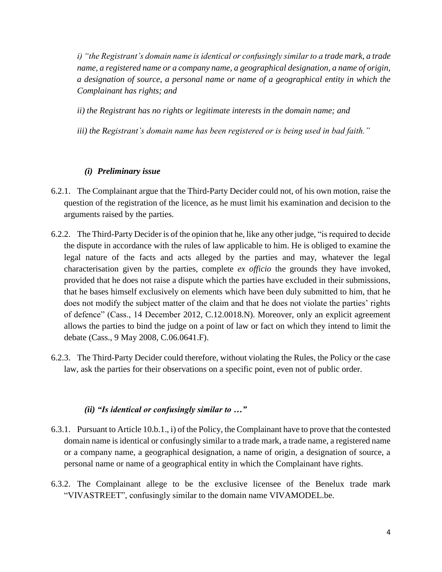*i) "the Registrant's domain name is identical or confusingly similar to a trade mark, a trade name, a registered name or a company name, a geographical designation, a name of origin, a designation of source, a personal name or name of a geographical entity in which the Complainant has rights; and*

- *ii) the Registrant has no rights or legitimate interests in the domain name; and*
- *iii) the Registrant's domain name has been registered or is being used in bad faith."*

### *(i) Preliminary issue*

- 6.2.1. The Complainant argue that the Third-Party Decider could not, of his own motion, raise the question of the registration of the licence, as he must limit his examination and decision to the arguments raised by the parties.
- 6.2.2. The Third-Party Decider is of the opinion that he, like any other judge, "is required to decide the dispute in accordance with the rules of law applicable to him. He is obliged to examine the legal nature of the facts and acts alleged by the parties and may, whatever the legal characterisation given by the parties, complete *ex officio* the grounds they have invoked, provided that he does not raise a dispute which the parties have excluded in their submissions, that he bases himself exclusively on elements which have been duly submitted to him, that he does not modify the subject matter of the claim and that he does not violate the parties' rights of defence" (Cass., 14 December 2012, C.12.0018.N). Moreover, only an explicit agreement allows the parties to bind the judge on a point of law or fact on which they intend to limit the debate (Cass., 9 May 2008, C.06.0641.F).
- 6.2.3. The Third-Party Decider could therefore, without violating the Rules, the Policy or the case law, ask the parties for their observations on a specific point, even not of public order.

## *(ii) "Is identical or confusingly similar to …"*

- 6.3.1. Pursuant to Article 10.b.1., i) of the Policy, the Complainant have to prove that the contested domain name is identical or confusingly similar to a trade mark, a trade name, a registered name or a company name, a geographical designation, a name of origin, a designation of source, a personal name or name of a geographical entity in which the Complainant have rights.
- 6.3.2. The Complainant allege to be the exclusive licensee of the Benelux trade mark "VIVASTREET", confusingly similar to the domain name VIVAMODEL.be.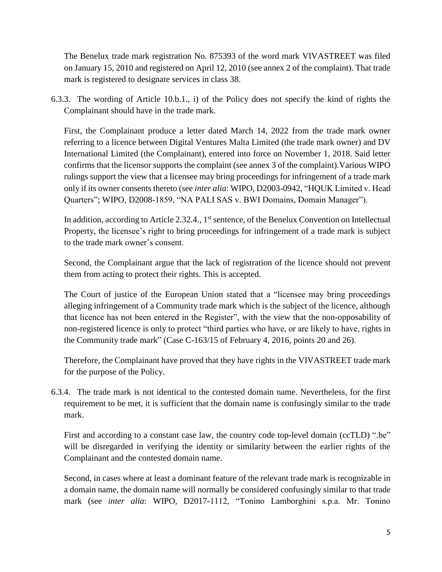The Benelux trade mark registration No. 875393 of the word mark VIVASTREET was filed on January 15, 2010 and registered on April 12, 2010 (see annex 2 of the complaint). That trade mark is registered to designate services in class 38.

6.3.3. The wording of Article 10.b.1., i) of the Policy does not specify the kind of rights the Complainant should have in the trade mark.

First, the Complainant produce a letter dated March 14, 2022 from the trade mark owner referring to a licence between Digital Ventures Malta Limited (the trade mark owner) and DV International Limited (the Complainant), entered into force on November 1, 2018. Said letter confirms that the licensor supports the complaint (see annex 3 of the complaint).Various WIPO rulings support the view that a licensee may bring proceedings for infringement of a trade mark only if its owner consents thereto (see *inter alia*: WIPO, D2003-0942, "HQUK Limited v. Head Quarters"; WIPO, D2008-1859, "NA PALI SAS v. BWI Domains, Domain Manager").

In addition, according to Article 2.32.4.,  $1<sup>st</sup>$  sentence, of the Benelux Convention on Intellectual Property, the licensee's right to bring proceedings for infringement of a trade mark is subject to the trade mark owner's consent.

Second, the Complainant argue that the lack of registration of the licence should not prevent them from acting to protect their rights. This is accepted.

The Court of justice of the European Union stated that a "licensee may bring proceedings alleging infringement of a Community trade mark which is the subject of the licence, although that licence has not been entered in the Register", with the view that the non-opposability of non-registered licence is only to protect "third parties who have, or are likely to have, rights in the Community trade mark" (Case C-163/15 of February 4, 2016, points 20 and 26).

Therefore, the Complainant have proved that they have rights in the VIVASTREET trade mark for the purpose of the Policy.

6.3.4. The trade mark is not identical to the contested domain name. Nevertheless, for the first requirement to be met, it is sufficient that the domain name is confusingly similar to the trade mark.

First and according to a constant case law, the country code top-level domain (ccTLD) ".be" will be disregarded in verifying the identity or similarity between the earlier rights of the Complainant and the contested domain name.

Second, in cases where at least a dominant feature of the relevant trade mark is recognizable in a domain name, the domain name will normally be considered confusingly similar to that trade mark (see *inter alia*: WIPO, D2017-1112, "Tonino Lamborghini s.p.a. Mr. Tonino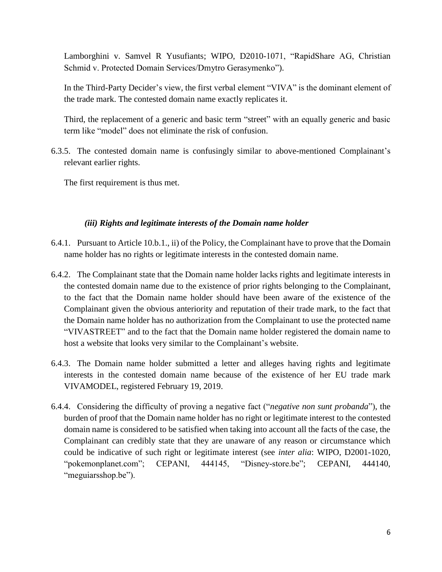Lamborghini v. Samvel R Yusufiants; WIPO, D2010-1071, "RapidShare AG, Christian Schmid v. Protected Domain Services/Dmytro Gerasymenko").

In the Third-Party Decider's view, the first verbal element "VIVA" is the dominant element of the trade mark. The contested domain name exactly replicates it.

Third, the replacement of a generic and basic term "street" with an equally generic and basic term like "model" does not eliminate the risk of confusion.

6.3.5. The contested domain name is confusingly similar to above-mentioned Complainant's relevant earlier rights.

The first requirement is thus met.

# *(iii) Rights and legitimate interests of the Domain name holder*

- 6.4.1. Pursuant to Article 10.b.1., ii) of the Policy, the Complainant have to prove that the Domain name holder has no rights or legitimate interests in the contested domain name.
- 6.4.2. The Complainant state that the Domain name holder lacks rights and legitimate interests in the contested domain name due to the existence of prior rights belonging to the Complainant, to the fact that the Domain name holder should have been aware of the existence of the Complainant given the obvious anteriority and reputation of their trade mark, to the fact that the Domain name holder has no authorization from the Complainant to use the protected name "VIVASTREET" and to the fact that the Domain name holder registered the domain name to host a website that looks very similar to the Complainant's website.
- 6.4.3. The Domain name holder submitted a letter and alleges having rights and legitimate interests in the contested domain name because of the existence of her EU trade mark VIVAMODEL, registered February 19, 2019.
- 6.4.4. Considering the difficulty of proving a negative fact ("*negative non sunt probanda*"), the burden of proof that the Domain name holder has no right or legitimate interest to the contested domain name is considered to be satisfied when taking into account all the facts of the case, the Complainant can credibly state that they are unaware of any reason or circumstance which could be indicative of such right or legitimate interest (see *inter alia*: WIPO, D2001-1020, "pokemonplanet.com"; CEPANI, 444145, "Disney-store.be"; CEPANI, 444140, "meguiarsshop.be").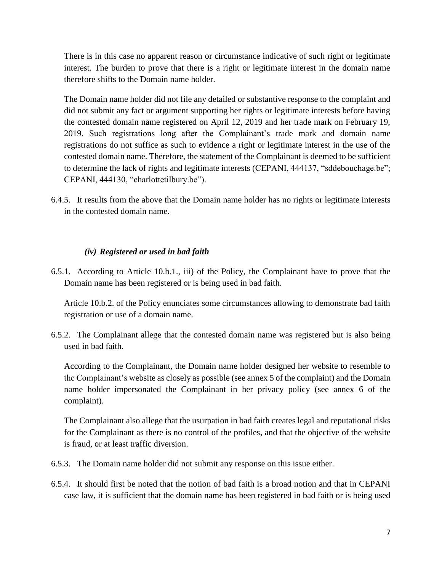There is in this case no apparent reason or circumstance indicative of such right or legitimate interest. The burden to prove that there is a right or legitimate interest in the domain name therefore shifts to the Domain name holder.

The Domain name holder did not file any detailed or substantive response to the complaint and did not submit any fact or argument supporting her rights or legitimate interests before having the contested domain name registered on April 12, 2019 and her trade mark on February 19, 2019. Such registrations long after the Complainant's trade mark and domain name registrations do not suffice as such to evidence a right or legitimate interest in the use of the contested domain name. Therefore, the statement of the Complainant is deemed to be sufficient to determine the lack of rights and legitimate interests (CEPANI, 444137, "sddebouchage.be"; CEPANI, 444130, "charlottetilbury.be").

6.4.5. It results from the above that the Domain name holder has no rights or legitimate interests in the contested domain name.

### *(iv) Registered or used in bad faith*

6.5.1. According to Article 10.b.1., iii) of the Policy, the Complainant have to prove that the Domain name has been registered or is being used in bad faith.

Article 10.b.2. of the Policy enunciates some circumstances allowing to demonstrate bad faith registration or use of a domain name.

6.5.2. The Complainant allege that the contested domain name was registered but is also being used in bad faith.

According to the Complainant, the Domain name holder designed her website to resemble to the Complainant's website as closely as possible (see annex 5 of the complaint) and the Domain name holder impersonated the Complainant in her privacy policy (see annex 6 of the complaint).

The Complainant also allege that the usurpation in bad faith creates legal and reputational risks for the Complainant as there is no control of the profiles, and that the objective of the website is fraud, or at least traffic diversion.

- 6.5.3. The Domain name holder did not submit any response on this issue either.
- 6.5.4. It should first be noted that the notion of bad faith is a broad notion and that in CEPANI case law, it is sufficient that the domain name has been registered in bad faith or is being used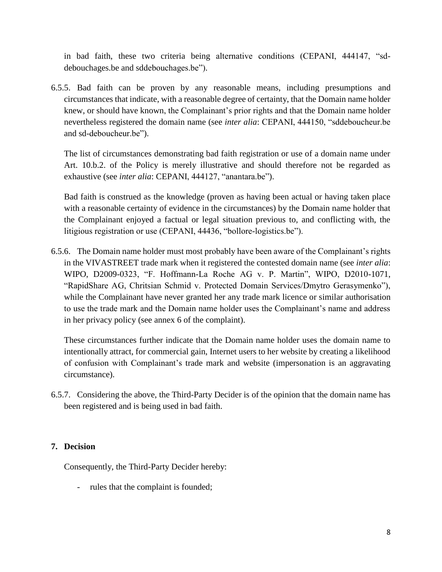in bad faith, these two criteria being alternative conditions (CEPANI, 444147, "sddebouchages.be and sddebouchages.be").

6.5.5. Bad faith can be proven by any reasonable means, including presumptions and circumstances that indicate, with a reasonable degree of certainty, that the Domain name holder knew, or should have known, the Complainant's prior rights and that the Domain name holder nevertheless registered the domain name (see *inter alia*: CEPANI, 444150, "sddeboucheur.be and sd-deboucheur.be").

The list of circumstances demonstrating bad faith registration or use of a domain name under Art. 10.b.2. of the Policy is merely illustrative and should therefore not be regarded as exhaustive (see *inter alia*: CEPANI, 444127, "anantara.be").

Bad faith is construed as the knowledge (proven as having been actual or having taken place with a reasonable certainty of evidence in the circumstances) by the Domain name holder that the Complainant enjoyed a factual or legal situation previous to, and conflicting with, the litigious registration or use (CEPANI, 44436, "bollore-logistics.be").

6.5.6. The Domain name holder must most probably have been aware of the Complainant's rights in the VIVASTREET trade mark when it registered the contested domain name (see *inter alia*: WIPO, D2009-0323, "F. Hoffmann-La Roche AG v. P. Martin", WIPO, D2010-1071, "RapidShare AG, Chritsian Schmid v. Protected Domain Services/Dmytro Gerasymenko"), while the Complainant have never granted her any trade mark licence or similar authorisation to use the trade mark and the Domain name holder uses the Complainant's name and address in her privacy policy (see annex 6 of the complaint).

These circumstances further indicate that the Domain name holder uses the domain name to intentionally attract, for commercial gain, Internet users to her website by creating a likelihood of confusion with Complainant's trade mark and website (impersonation is an aggravating circumstance).

6.5.7. Considering the above, the Third-Party Decider is of the opinion that the domain name has been registered and is being used in bad faith.

## **7. Decision**

Consequently, the Third-Party Decider hereby:

- rules that the complaint is founded;